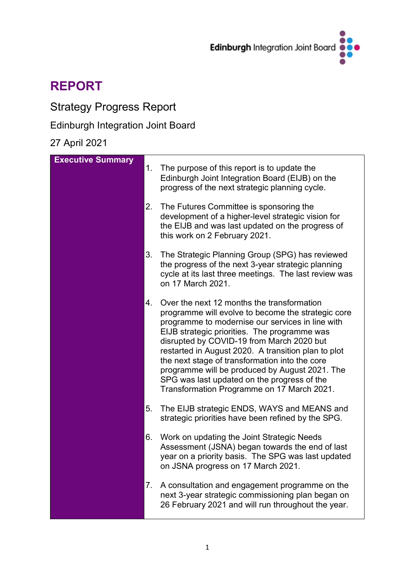

# **REPORT**

## Strategy Progress Report

### Edinburgh Integration Joint Board

### 27 April 2021

| <b>Executive Summary</b> | 1. | The purpose of this report is to update the<br>Edinburgh Joint Integration Board (EIJB) on the<br>progress of the next strategic planning cycle.                                                                                                                                                                                                                                                                                                                                                          |
|--------------------------|----|-----------------------------------------------------------------------------------------------------------------------------------------------------------------------------------------------------------------------------------------------------------------------------------------------------------------------------------------------------------------------------------------------------------------------------------------------------------------------------------------------------------|
|                          | 2. | The Futures Committee is sponsoring the<br>development of a higher-level strategic vision for<br>the EIJB and was last updated on the progress of<br>this work on 2 February 2021.                                                                                                                                                                                                                                                                                                                        |
|                          | 3. | The Strategic Planning Group (SPG) has reviewed<br>the progress of the next 3-year strategic planning<br>cycle at its last three meetings. The last review was<br>on 17 March 2021.                                                                                                                                                                                                                                                                                                                       |
|                          | 4. | Over the next 12 months the transformation<br>programme will evolve to become the strategic core<br>programme to modernise our services in line with<br>EIJB strategic priorities. The programme was<br>disrupted by COVID-19 from March 2020 but<br>restarted in August 2020. A transition plan to plot<br>the next stage of transformation into the core<br>programme will be produced by August 2021. The<br>SPG was last updated on the progress of the<br>Transformation Programme on 17 March 2021. |
|                          | 5. | The EIJB strategic ENDS, WAYS and MEANS and<br>strategic priorities have been refined by the SPG.                                                                                                                                                                                                                                                                                                                                                                                                         |
|                          | 6. | Work on updating the Joint Strategic Needs<br>Assessment (JSNA) began towards the end of last<br>year on a priority basis. The SPG was last updated<br>on JSNA progress on 17 March 2021.                                                                                                                                                                                                                                                                                                                 |
|                          | 7. | A consultation and engagement programme on the<br>next 3-year strategic commissioning plan began on<br>26 February 2021 and will run throughout the year.                                                                                                                                                                                                                                                                                                                                                 |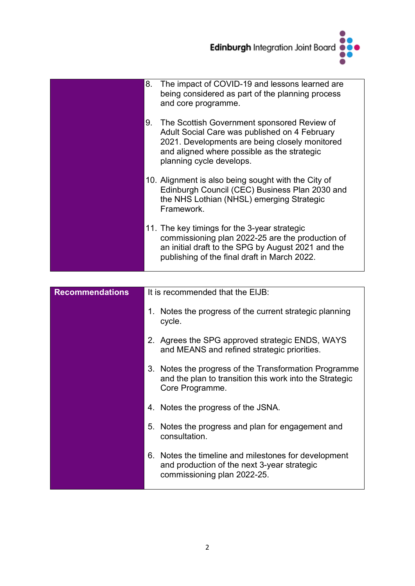

| 8. | The impact of COVID-19 and lessons learned are<br>being considered as part of the planning process<br>and core programme.                                                                                                 |
|----|---------------------------------------------------------------------------------------------------------------------------------------------------------------------------------------------------------------------------|
| 9. | The Scottish Government sponsored Review of<br>Adult Social Care was published on 4 February<br>2021. Developments are being closely monitored<br>and aligned where possible as the strategic<br>planning cycle develops. |
|    | 10. Alignment is also being sought with the City of<br>Edinburgh Council (CEC) Business Plan 2030 and<br>the NHS Lothian (NHSL) emerging Strategic<br>Framework.                                                          |
|    | 11. The key timings for the 3-year strategic<br>commissioning plan 2022-25 are the production of<br>an initial draft to the SPG by August 2021 and the<br>publishing of the final draft in March 2022.                    |
|    |                                                                                                                                                                                                                           |

| <b>Recommendations</b> | It is recommended that the EIJB:                                                                                                    |
|------------------------|-------------------------------------------------------------------------------------------------------------------------------------|
|                        | Notes the progress of the current strategic planning<br>1.<br>cycle.                                                                |
|                        | 2. Agrees the SPG approved strategic ENDS, WAYS<br>and MEANS and refined strategic priorities.                                      |
|                        | 3. Notes the progress of the Transformation Programme<br>and the plan to transition this work into the Strategic<br>Core Programme. |
|                        | 4. Notes the progress of the JSNA.                                                                                                  |
|                        | Notes the progress and plan for engagement and<br>5.<br>consultation.                                                               |
|                        | 6. Notes the timeline and milestones for development<br>and production of the next 3-year strategic<br>commissioning plan 2022-25.  |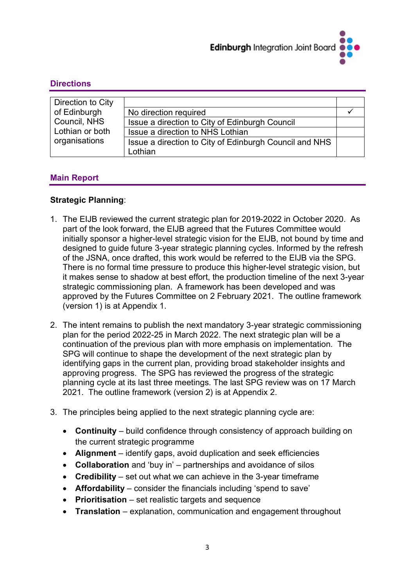

#### **Directions**

| Direction to City |                                                        |  |
|-------------------|--------------------------------------------------------|--|
| of Edinburgh      | No direction required                                  |  |
| Council, NHS      | Issue a direction to City of Edinburgh Council         |  |
| Lothian or both   | Issue a direction to NHS Lothian                       |  |
| organisations     | Issue a direction to City of Edinburgh Council and NHS |  |
|                   | Lothian                                                |  |

#### **Main Report**

#### **Strategic Planning**:

- 1. The EIJB reviewed the current strategic plan for 2019-2022 in October 2020. As part of the look forward, the EIJB agreed that the Futures Committee would initially sponsor a higher-level strategic vision for the EIJB, not bound by time and designed to guide future 3-year strategic planning cycles. Informed by the refresh of the JSNA, once drafted, this work would be referred to the EIJB via the SPG. There is no formal time pressure to produce this higher-level strategic vision, but it makes sense to shadow at best effort, the production timeline of the next 3-year strategic commissioning plan. A framework has been developed and was approved by the Futures Committee on 2 February 2021. The outline framework (version 1) is at Appendix 1.
- 2. The intent remains to publish the next mandatory 3-year strategic commissioning plan for the period 2022-25 in March 2022. The next strategic plan will be a continuation of the previous plan with more emphasis on implementation. The SPG will continue to shape the development of the next strategic plan by identifying gaps in the current plan, providing broad stakeholder insights and approving progress. The SPG has reviewed the progress of the strategic planning cycle at its last three meetings. The last SPG review was on 17 March 2021. The outline framework (version 2) is at Appendix 2.
- 3. The principles being applied to the next strategic planning cycle are:
	- **Continuity** build confidence through consistency of approach building on the current strategic programme
	- **Alignment** identify gaps, avoid duplication and seek efficiencies
	- **Collaboration** and 'buy in' partnerships and avoidance of silos
	- **Credibility** set out what we can achieve in the 3-year timeframe
	- **Affordability** consider the financials including 'spend to save'
	- **Prioritisation** set realistic targets and sequence
	- **Translation**  explanation, communication and engagement throughout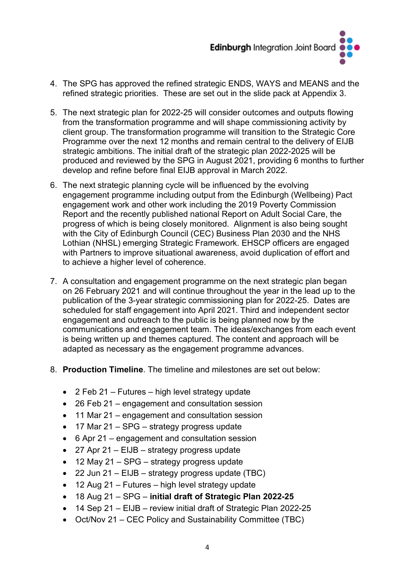

- 4. The SPG has approved the refined strategic ENDS, WAYS and MEANS and the refined strategic priorities. These are set out in the slide pack at Appendix 3.
- 5. The next strategic plan for 2022-25 will consider outcomes and outputs flowing from the transformation programme and will shape commissioning activity by client group. The transformation programme will transition to the Strategic Core Programme over the next 12 months and remain central to the delivery of EIJB strategic ambitions. The initial draft of the strategic plan 2022-2025 will be produced and reviewed by the SPG in August 2021, providing 6 months to further develop and refine before final EIJB approval in March 2022.
- 6. The next strategic planning cycle will be influenced by the evolving engagement programme including output from the Edinburgh (Wellbeing) Pact engagement work and other work including the 2019 Poverty Commission Report and the recently published national Report on Adult Social Care, the progress of which is being closely monitored. Alignment is also being sought with the City of Edinburgh Council (CEC) Business Plan 2030 and the NHS Lothian (NHSL) emerging Strategic Framework. EHSCP officers are engaged with Partners to improve situational awareness, avoid duplication of effort and to achieve a higher level of coherence.
- 7. A consultation and engagement programme on the next strategic plan began on 26 February 2021 and will continue throughout the year in the lead up to the publication of the 3-year strategic commissioning plan for 2022-25. Dates are scheduled for staff engagement into April 2021. Third and independent sector engagement and outreach to the public is being planned now by the communications and engagement team. The ideas/exchanges from each event is being written up and themes captured. The content and approach will be adapted as necessary as the engagement programme advances.
- 8. **Production Timeline**. The timeline and milestones are set out below:
	- 2 Feb 21 Futures high level strategy update
	- 26 Feb 21 engagement and consultation session
	- 11 Mar 21 engagement and consultation session
	- 17 Mar 21 SPG strategy progress update
	- 6 Apr 21 engagement and consultation session
	- 27 Apr 21 EIJB strategy progress update
	- 12 May 21 SPG strategy progress update
	- 22 Jun 21 EIJB strategy progress update (TBC)
	- 12 Aug 21 Futures high level strategy update
	- 18 Aug 21 SPG **initial draft of Strategic Plan 2022-25**
	- 14 Sep 21 EIJB review initial draft of Strategic Plan 2022-25
	- Oct/Nov 21 CEC Policy and Sustainability Committee (TBC)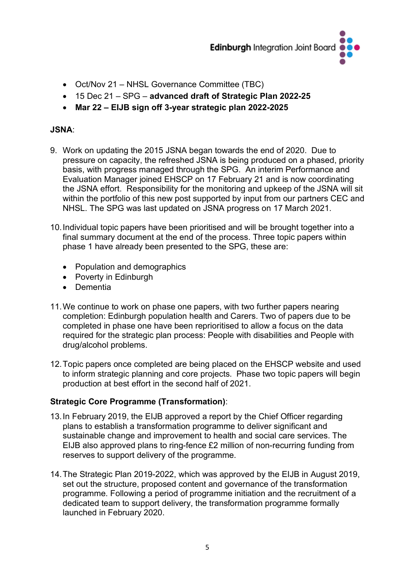

- Oct/Nov 21 NHSL Governance Committee (TBC)
- 15 Dec 21 SPG **advanced draft of Strategic Plan 2022-25**
- **Mar 22 – EIJB sign off 3-year strategic plan 2022-2025**

#### **JSNA**:

- 9. Work on updating the 2015 JSNA began towards the end of 2020. Due to pressure on capacity, the refreshed JSNA is being produced on a phased, priority basis, with progress managed through the SPG. An interim Performance and Evaluation Manager joined EHSCP on 17 February 21 and is now coordinating the JSNA effort. Responsibility for the monitoring and upkeep of the JSNA will sit within the portfolio of this new post supported by input from our partners CEC and NHSL. The SPG was last updated on JSNA progress on 17 March 2021.
- 10.Individual topic papers have been prioritised and will be brought together into a final summary document at the end of the process. Three topic papers within phase 1 have already been presented to the SPG, these are:
	- Population and demographics
	- Poverty in Edinburgh
	- Dementia
- 11.We continue to work on phase one papers, with two further papers nearing completion: Edinburgh population health and Carers. Two of papers due to be completed in phase one have been reprioritised to allow a focus on the data required for the strategic plan process: People with disabilities and People with drug/alcohol problems.
- 12.Topic papers once completed are being placed on the EHSCP website and used to inform strategic planning and core projects. Phase two topic papers will begin production at best effort in the second half of 2021.

#### **Strategic Core Programme (Transformation)**:

- 13.In February 2019, the EIJB approved a report by the Chief Officer regarding plans to establish a transformation programme to deliver significant and sustainable change and improvement to health and social care services. The EIJB also approved plans to ring-fence £2 million of non-recurring funding from reserves to support delivery of the programme.
- 14.The Strategic Plan 2019-2022, which was approved by the EIJB in August 2019, set out the structure, proposed content and governance of the transformation programme. Following a period of programme initiation and the recruitment of a dedicated team to support delivery, the transformation programme formally launched in February 2020.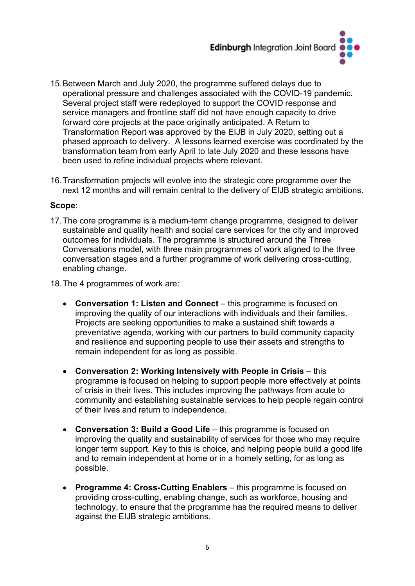

- 15.Between March and July 2020, the programme suffered delays due to operational pressure and challenges associated with the COVID-19 pandemic. Several project staff were redeployed to support the COVID response and service managers and frontline staff did not have enough capacity to drive forward core projects at the pace originally anticipated. A Return to Transformation Report was approved by the EIJB in July 2020, setting out a phased approach to delivery. A lessons learned exercise was coordinated by the transformation team from early April to late July 2020 and these lessons have been used to refine individual projects where relevant.
- 16.Transformation projects will evolve into the strategic core programme over the next 12 months and will remain central to the delivery of EIJB strategic ambitions.

#### **Scope**:

17.The core programme is a medium-term change programme, designed to deliver sustainable and quality health and social care services for the city and improved outcomes for individuals. The programme is structured around the Three Conversations model, with three main programmes of work aligned to the three conversation stages and a further programme of work delivering cross-cutting, enabling change.

18.The 4 programmes of work are:

- **Conversation 1: Listen and Connect** this programme is focused on improving the quality of our interactions with individuals and their families. Projects are seeking opportunities to make a sustained shift towards a preventative agenda, working with our partners to build community capacity and resilience and supporting people to use their assets and strengths to remain independent for as long as possible.
- **Conversation 2: Working Intensively with People in Crisis** this programme is focused on helping to support people more effectively at points of crisis in their lives. This includes improving the pathways from acute to community and establishing sustainable services to help people regain control of their lives and return to independence.
- **Conversation 3: Build a Good Life** this programme is focused on improving the quality and sustainability of services for those who may require longer term support. Key to this is choice, and helping people build a good life and to remain independent at home or in a homely setting, for as long as possible.
- **Programme 4: Cross-Cutting Enablers** this programme is focused on providing cross-cutting, enabling change, such as workforce, housing and technology, to ensure that the programme has the required means to deliver against the EIJB strategic ambitions.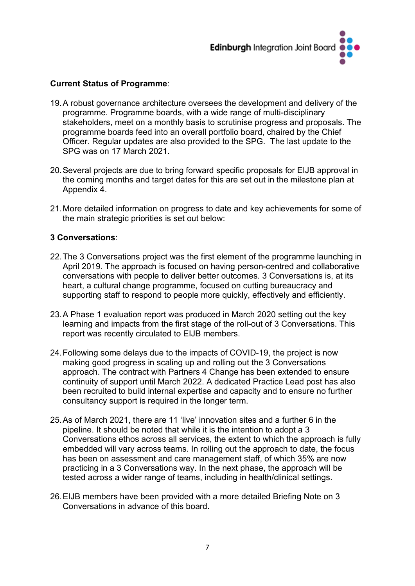

#### **Current Status of Programme**:

- 19.A robust governance architecture oversees the development and delivery of the programme. Programme boards, with a wide range of multi-disciplinary stakeholders, meet on a monthly basis to scrutinise progress and proposals. The programme boards feed into an overall portfolio board, chaired by the Chief Officer. Regular updates are also provided to the SPG. The last update to the SPG was on 17 March 2021.
- 20.Several projects are due to bring forward specific proposals for EIJB approval in the coming months and target dates for this are set out in the milestone plan at Appendix 4.
- 21.More detailed information on progress to date and key achievements for some of the main strategic priorities is set out below:

#### **3 Conversations**:

- 22.The 3 Conversations project was the first element of the programme launching in April 2019. The approach is focused on having person-centred and collaborative conversations with people to deliver better outcomes. 3 Conversations is, at its heart, a cultural change programme, focused on cutting bureaucracy and supporting staff to respond to people more quickly, effectively and efficiently.
- 23.A Phase 1 evaluation report was produced in March 2020 setting out the key learning and impacts from the first stage of the roll-out of 3 Conversations. This report was recently circulated to EIJB members.
- 24.Following some delays due to the impacts of COVID-19, the project is now making good progress in scaling up and rolling out the 3 Conversations approach. The contract with Partners 4 Change has been extended to ensure continuity of support until March 2022. A dedicated Practice Lead post has also been recruited to build internal expertise and capacity and to ensure no further consultancy support is required in the longer term.
- 25.As of March 2021, there are 11 'live' innovation sites and a further 6 in the pipeline. It should be noted that while it is the intention to adopt a 3 Conversations ethos across all services, the extent to which the approach is fully embedded will vary across teams. In rolling out the approach to date, the focus has been on assessment and care management staff, of which 35% are now practicing in a 3 Conversations way. In the next phase, the approach will be tested across a wider range of teams, including in health/clinical settings.
- 26.EIJB members have been provided with a more detailed Briefing Note on 3 Conversations in advance of this board.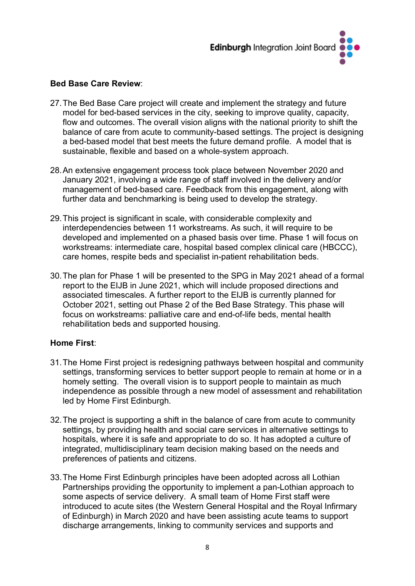

#### **Bed Base Care Review**:

- 27.The Bed Base Care project will create and implement the strategy and future model for bed-based services in the city, seeking to improve quality, capacity, flow and outcomes. The overall vision aligns with the national priority to shift the balance of care from acute to community-based settings. The project is designing a bed-based model that best meets the future demand profile. A model that is sustainable, flexible and based on a whole-system approach.
- 28.An extensive engagement process took place between November 2020 and January 2021, involving a wide range of staff involved in the delivery and/or management of bed-based care. Feedback from this engagement, along with further data and benchmarking is being used to develop the strategy.
- 29.This project is significant in scale, with considerable complexity and interdependencies between 11 workstreams. As such, it will require to be developed and implemented on a phased basis over time. Phase 1 will focus on workstreams: intermediate care, hospital based complex clinical care (HBCCC), care homes, respite beds and specialist in-patient rehabilitation beds.
- 30.The plan for Phase 1 will be presented to the SPG in May 2021 ahead of a formal report to the EIJB in June 2021, which will include proposed directions and associated timescales. A further report to the EIJB is currently planned for October 2021, setting out Phase 2 of the Bed Base Strategy. This phase will focus on workstreams: palliative care and end-of-life beds, mental health rehabilitation beds and supported housing.

#### **Home First**:

- 31.The Home First project is redesigning pathways between hospital and community settings, transforming services to better support people to remain at home or in a homely setting. The overall vision is to support people to maintain as much independence as possible through a new model of assessment and rehabilitation led by Home First Edinburgh.
- 32.The project is supporting a shift in the balance of care from acute to community settings, by providing health and social care services in alternative settings to hospitals, where it is safe and appropriate to do so. It has adopted a culture of integrated, multidisciplinary team decision making based on the needs and preferences of patients and citizens.
- 33.The Home First Edinburgh principles have been adopted across all Lothian Partnerships providing the opportunity to implement a pan-Lothian approach to some aspects of service delivery. A small team of Home First staff were introduced to acute sites (the Western General Hospital and the Royal Infirmary of Edinburgh) in March 2020 and have been assisting acute teams to support discharge arrangements, linking to community services and supports and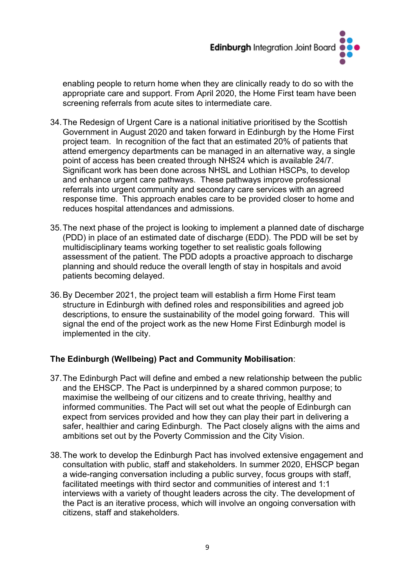

enabling people to return home when they are clinically ready to do so with the appropriate care and support. From April 2020, the Home First team have been screening referrals from acute sites to intermediate care.

- 34.The Redesign of Urgent Care is a national initiative prioritised by the Scottish Government in August 2020 and taken forward in Edinburgh by the Home First project team. In recognition of the fact that an estimated 20% of patients that attend emergency departments can be managed in an alternative way, a single point of access has been created through NHS24 which is available 24/7. Significant work has been done across NHSL and Lothian HSCPs, to develop and enhance urgent care pathways. These pathways improve professional referrals into urgent community and secondary care services with an agreed response time. This approach enables care to be provided closer to home and reduces hospital attendances and admissions.
- 35.The next phase of the project is looking to implement a planned date of discharge (PDD) in place of an estimated date of discharge (EDD). The PDD will be set by multidisciplinary teams working together to set realistic goals following assessment of the patient. The PDD adopts a proactive approach to discharge planning and should reduce the overall length of stay in hospitals and avoid patients becoming delayed.
- 36.By December 2021, the project team will establish a firm Home First team structure in Edinburgh with defined roles and responsibilities and agreed job descriptions, to ensure the sustainability of the model going forward. This will signal the end of the project work as the new Home First Edinburgh model is implemented in the city.

#### **The Edinburgh (Wellbeing) Pact and Community Mobilisation**:

- 37.The Edinburgh Pact will define and embed a new relationship between the public and the EHSCP. The Pact is underpinned by a shared common purpose; to maximise the wellbeing of our citizens and to create thriving, healthy and informed communities. The Pact will set out what the people of Edinburgh can expect from services provided and how they can play their part in delivering a safer, healthier and caring Edinburgh. The Pact closely aligns with the aims and ambitions set out by the Poverty Commission and the City Vision.
- 38.The work to develop the Edinburgh Pact has involved extensive engagement and consultation with public, staff and stakeholders. In summer 2020, EHSCP began a wide-ranging conversation including a public survey, focus groups with staff, facilitated meetings with third sector and communities of interest and 1:1 interviews with a variety of thought leaders across the city. The development of the Pact is an iterative process, which will involve an ongoing conversation with citizens, staff and stakeholders.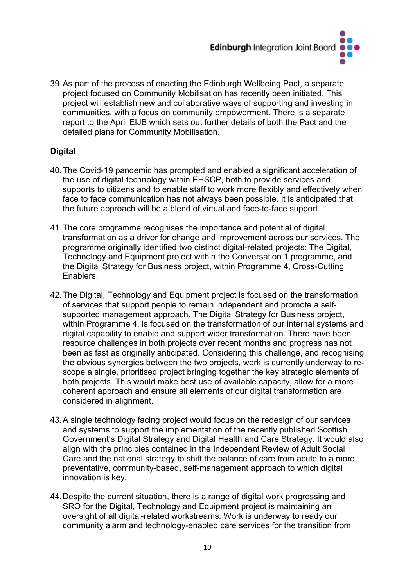

39.As part of the process of enacting the Edinburgh Wellbeing Pact, a separate project focused on Community Mobilisation has recently been initiated. This project will establish new and collaborative ways of supporting and investing in communities, with a focus on community empowerment. There is a separate report to the April EIJB which sets out further details of both the Pact and the detailed plans for Community Mobilisation.

#### **Digital**:

- 40.The Covid-19 pandemic has prompted and enabled a significant acceleration of the use of digital technology within EHSCP, both to provide services and supports to citizens and to enable staff to work more flexibly and effectively when face to face communication has not always been possible. It is anticipated that the future approach will be a blend of virtual and face-to-face support.
- 41.The core programme recognises the importance and potential of digital transformation as a driver for change and improvement across our services. The programme originally identified two distinct digital-related projects: The Digital, Technology and Equipment project within the Conversation 1 programme, and the Digital Strategy for Business project, within Programme 4, Cross-Cutting Enablers.
- 42.The Digital, Technology and Equipment project is focused on the transformation of services that support people to remain independent and promote a selfsupported management approach. The Digital Strategy for Business project, within Programme 4, is focused on the transformation of our internal systems and digital capability to enable and support wider transformation. There have been resource challenges in both projects over recent months and progress has not been as fast as originally anticipated. Considering this challenge, and recognising the obvious synergies between the two projects, work is currently underway to rescope a single, prioritised project bringing together the key strategic elements of both projects. This would make best use of available capacity, allow for a more coherent approach and ensure all elements of our digital transformation are considered in alignment.
- 43.A single technology facing project would focus on the redesign of our services and systems to support the implementation of the recently published Scottish Government's Digital Strategy and Digital Health and Care Strategy. It would also align with the principles contained in the Independent Review of Adult Social Care and the national strategy to shift the balance of care from acute to a more preventative, community-based, self-management approach to which digital innovation is key.
- 44.Despite the current situation, there is a range of digital work progressing and SRO for the Digital, Technology and Equipment project is maintaining an oversight of all digital-related workstreams. Work is underway to ready our community alarm and technology-enabled care services for the transition from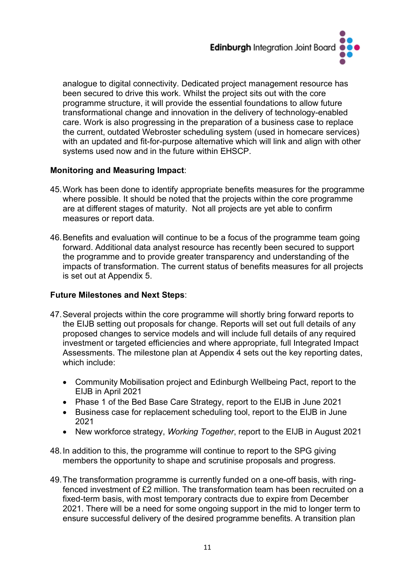

analogue to digital connectivity. Dedicated project management resource has been secured to drive this work. Whilst the project sits out with the core programme structure, it will provide the essential foundations to allow future transformational change and innovation in the delivery of technology-enabled care. Work is also progressing in the preparation of a business case to replace the current, outdated Webroster scheduling system (used in homecare services) with an updated and fit-for-purpose alternative which will link and align with other systems used now and in the future within EHSCP.

#### **Monitoring and Measuring Impact**:

- 45.Work has been done to identify appropriate benefits measures for the programme where possible. It should be noted that the projects within the core programme are at different stages of maturity. Not all projects are yet able to confirm measures or report data.
- 46.Benefits and evaluation will continue to be a focus of the programme team going forward. Additional data analyst resource has recently been secured to support the programme and to provide greater transparency and understanding of the impacts of transformation. The current status of benefits measures for all projects is set out at Appendix 5.

#### **Future Milestones and Next Steps**:

- 47.Several projects within the core programme will shortly bring forward reports to the EIJB setting out proposals for change. Reports will set out full details of any proposed changes to service models and will include full details of any required investment or targeted efficiencies and where appropriate, full Integrated Impact Assessments. The milestone plan at Appendix 4 sets out the key reporting dates, which include:
	- Community Mobilisation project and Edinburgh Wellbeing Pact, report to the EIJB in April 2021
	- Phase 1 of the Bed Base Care Strategy, report to the EIJB in June 2021
	- Business case for replacement scheduling tool, report to the EIJB in June 2021
	- New workforce strategy, *Working Together*, report to the EIJB in August 2021
- 48.In addition to this, the programme will continue to report to the SPG giving members the opportunity to shape and scrutinise proposals and progress.
- 49.The transformation programme is currently funded on a one-off basis, with ringfenced investment of £2 million. The transformation team has been recruited on a fixed-term basis, with most temporary contracts due to expire from December 2021. There will be a need for some ongoing support in the mid to longer term to ensure successful delivery of the desired programme benefits. A transition plan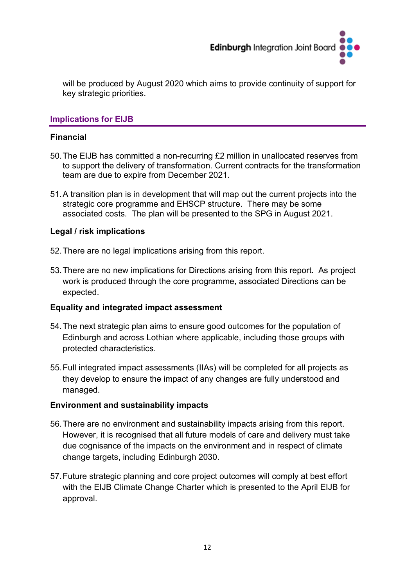

will be produced by August 2020 which aims to provide continuity of support for key strategic priorities.

#### **Implications for EIJB**

#### **Financial**

- 50.The EIJB has committed a non-recurring £2 million in unallocated reserves from to support the delivery of transformation. Current contracts for the transformation team are due to expire from December 2021.
- 51.A transition plan is in development that will map out the current projects into the strategic core programme and EHSCP structure. There may be some associated costs. The plan will be presented to the SPG in August 2021.

#### **Legal / risk implications**

- 52.There are no legal implications arising from this report.
- 53.There are no new implications for Directions arising from this report. As project work is produced through the core programme, associated Directions can be expected.

#### **Equality and integrated impact assessment**

- 54.The next strategic plan aims to ensure good outcomes for the population of Edinburgh and across Lothian where applicable, including those groups with protected characteristics.
- 55.Full integrated impact assessments (IIAs) will be completed for all projects as they develop to ensure the impact of any changes are fully understood and managed.

#### **Environment and sustainability impacts**

- 56.There are no environment and sustainability impacts arising from this report. However, it is recognised that all future models of care and delivery must take due cognisance of the impacts on the environment and in respect of climate change targets, including Edinburgh 2030.
- 57.Future strategic planning and core project outcomes will comply at best effort with the EIJB Climate Change Charter which is presented to the April EIJB for approval.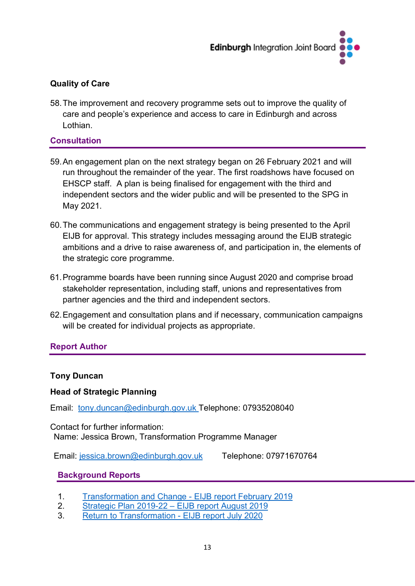

#### **Quality of Care**

58.The improvement and recovery programme sets out to improve the quality of care and people's experience and access to care in Edinburgh and across Lothian.

#### **Consultation**

- 59.An engagement plan on the next strategy began on 26 February 2021 and will run throughout the remainder of the year. The first roadshows have focused on EHSCP staff. A plan is being finalised for engagement with the third and independent sectors and the wider public and will be presented to the SPG in May 2021.
- 60.The communications and engagement strategy is being presented to the April EIJB for approval. This strategy includes messaging around the EIJB strategic ambitions and a drive to raise awareness of, and participation in, the elements of the strategic core programme.
- 61.Programme boards have been running since August 2020 and comprise broad stakeholder representation, including staff, unions and representatives from partner agencies and the third and independent sectors.
- 62.Engagement and consultation plans and if necessary, communication campaigns will be created for individual projects as appropriate.

#### **Report Author**

#### **Tony Duncan**

#### **Head of Strategic Planning**

Email: [tony.duncan@edinburgh.gov.uk](mailto:tony.duncan@edinburgh.gov.uk) Telephone: 07935208040

Contact for further information: Name: Jessica Brown, Transformation Programme Manager

Email: [jessica.brown@edinburgh.gov.uk](mailto:jessica.brown@edinburgh.gov.uk) Telephone: 07971670764

#### **Background Reports**

- 1. [Transformation and Change -](https://democracy.edinburgh.gov.uk/Data/Edinburgh%20Integration%20Joint%20Board/20190208/Agenda/item_54_-_transformation_and_change_-_developing_the_edinburgh_model.pdf) EIJB report February 2019
- 2. [Strategic Plan 2019-22 –](https://democracy.edinburgh.gov.uk/documents/s4851/Combined%20Strategic%20Plan.pdf) EIJB report August 2019
- 3. Return to Transformation [EIJB report July 2020](https://democracy.edinburgh.gov.uk/documents/s24784/Item%207.1%20-%20Return%20to%20Transformation.pdf)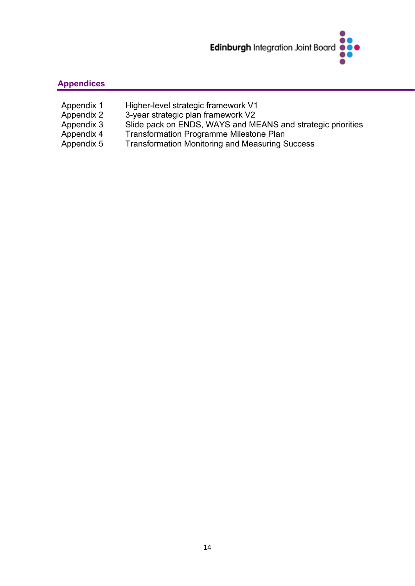

#### **Appendices**

- Appendix 1 Appendix 2 Appendix 3 Appendix 4 Appendix 5 Higher-level strategic framework V1 3-year strategic plan framework V2 Slide pack on ENDS, WAYS and MEANS and strategic priorities Transformation Programme Milestone Plan Transformation Monitoring and Measuring Success
	-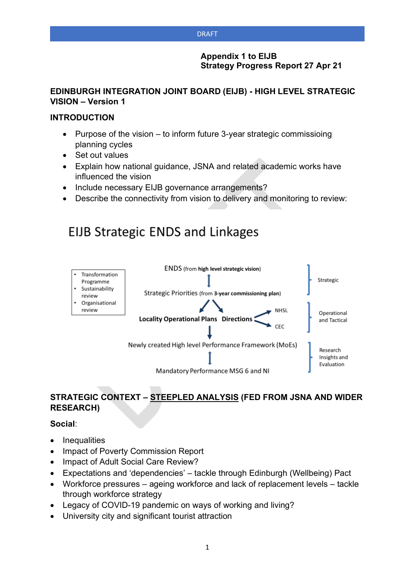#### **Appendix 1 to EIJB Strategy Progress Report 27 Apr 21**

#### **EDINBURGH INTEGRATION JOINT BOARD (EIJB) - HIGH LEVEL STRATEGIC VISION – Version 1**

#### **INTRODUCTION**

- Purpose of the vision to inform future 3-year strategic commissioing planning cycles
- Set out values
- Explain how national guidance, JSNA and related academic works have influenced the vision
- Include necessary EIJB governance arrangements?
- Describe the connectivity from vision to delivery and monitoring to review:

# **EIJB Strategic ENDS and Linkages**



#### **STRATEGIC CONTEXT – STEEPLED ANALYSIS (FED FROM JSNA AND WIDER RESEARCH)**

**Social**:

- **Inequalities**
- Impact of Poverty Commission Report
- Impact of Adult Social Care Review?
- Expectations and 'dependencies' tackle through Edinburgh (Wellbeing) Pact
- Workforce pressures ageing workforce and lack of replacement levels tackle through workforce strategy
- Legacy of COVID-19 pandemic on ways of working and living?
- University city and significant tourist attraction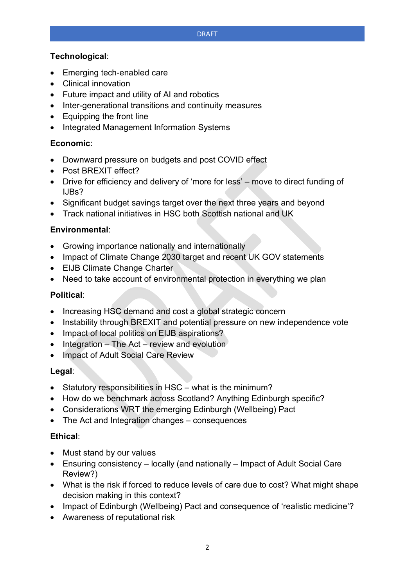#### **Technological**:

- Emerging tech-enabled care
- Clinical innovation
- Future impact and utility of AI and robotics
- Inter-generational transitions and continuity measures
- Equipping the front line
- Integrated Management Information Systems

#### **Economic**:

- Downward pressure on budgets and post COVID effect
- Post BREXIT effect?
- Drive for efficiency and delivery of 'more for less' move to direct funding of IJBs?
- Significant budget savings target over the next three years and beyond
- Track national initiatives in HSC both Scottish national and UK

#### **Environmental**:

- Growing importance nationally and internationally
- Impact of Climate Change 2030 target and recent UK GOV statements
- EIJB Climate Change Charter
- Need to take account of environmental protection in everything we plan

#### **Political**:

- Increasing HSC demand and cost a global strategic concern
- Instability through BREXIT and potential pressure on new independence vote
- Impact of local politics on EIJB aspirations?
- $\bullet$  Integration The Act review and evolution
- Impact of Adult Social Care Review

#### **Legal**:

- Statutory responsibilities in HSC what is the minimum?
- How do we benchmark across Scotland? Anything Edinburgh specific?
- Considerations WRT the emerging Edinburgh (Wellbeing) Pact
- The Act and Integration changes consequences

#### **Ethical**:

- Must stand by our values
- Ensuring consistency locally (and nationally Impact of Adult Social Care Review?)
- What is the risk if forced to reduce levels of care due to cost? What might shape decision making in this context?
- Impact of Edinburgh (Wellbeing) Pact and consequence of 'realistic medicine'?
- Awareness of reputational risk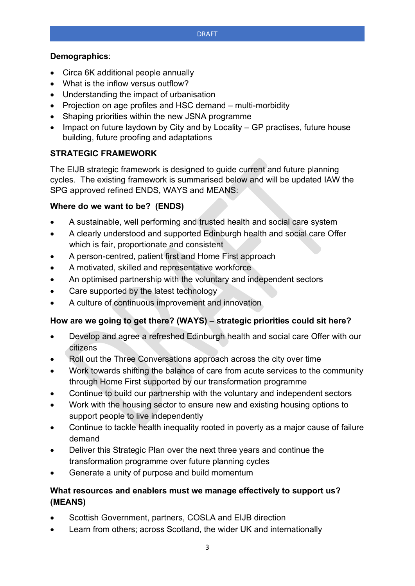#### **Demographics**:

- Circa 6K additional people annually
- What is the inflow versus outflow?
- Understanding the impact of urbanisation
- Projection on age profiles and HSC demand multi-morbidity
- Shaping priorities within the new JSNA programme
- Impact on future laydown by City and by Locality GP practises, future house building, future proofing and adaptations

#### **STRATEGIC FRAMEWORK**

The EIJB strategic framework is designed to guide current and future planning cycles. The existing framework is summarised below and will be updated IAW the SPG approved refined ENDS, WAYS and MEANS:

#### **Where do we want to be? (ENDS)**

- A sustainable, well performing and trusted health and social care system
- A clearly understood and supported Edinburgh health and social care Offer which is fair, proportionate and consistent
- A person-centred, patient first and Home First approach
- A motivated, skilled and representative workforce
- An optimised partnership with the voluntary and independent sectors
- Care supported by the latest technology
- A culture of continuous improvement and innovation

#### **How are we going to get there? (WAYS) – strategic priorities could sit here?**

- Develop and agree a refreshed Edinburgh health and social care Offer with our citizens
- Roll out the Three Conversations approach across the city over time
- Work towards shifting the balance of care from acute services to the community through Home First supported by our transformation programme
- Continue to build our partnership with the voluntary and independent sectors
- Work with the housing sector to ensure new and existing housing options to support people to live independently
- Continue to tackle health inequality rooted in poverty as a major cause of failure demand
- Deliver this Strategic Plan over the next three years and continue the transformation programme over future planning cycles
- Generate a unity of purpose and build momentum

#### **What resources and enablers must we manage effectively to support us? (MEANS)**

- Scottish Government, partners, COSLA and EIJB direction
- Learn from others; across Scotland, the wider UK and internationally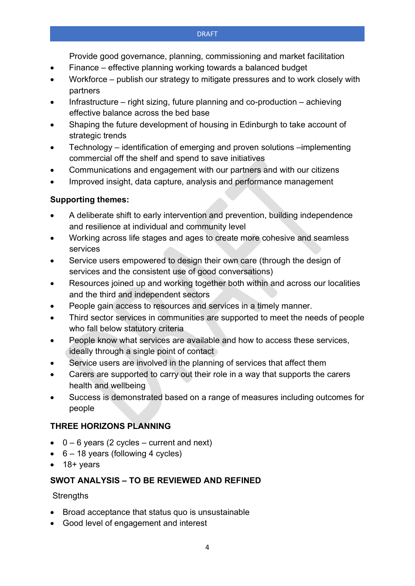Provide good governance, planning, commissioning and market facilitation

- Finance effective planning working towards a balanced budget
- Workforce publish our strategy to mitigate pressures and to work closely with partners
- Infrastructure right sizing, future planning and co-production achieving effective balance across the bed base
- Shaping the future development of housing in Edinburgh to take account of strategic trends
- Technology identification of emerging and proven solutions –implementing commercial off the shelf and spend to save initiatives
- Communications and engagement with our partners and with our citizens
- Improved insight, data capture, analysis and performance management

#### **Supporting themes:**

- A deliberate shift to early intervention and prevention, building independence and resilience at individual and community level
- Working across life stages and ages to create more cohesive and seamless services
- Service users empowered to design their own care (through the design of services and the consistent use of good conversations)
- Resources joined up and working together both within and across our localities and the third and independent sectors
- People gain access to resources and services in a timely manner.
- Third sector services in communities are supported to meet the needs of people who fall below statutory criteria
- People know what services are available and how to access these services, ideally through a single point of contact
- Service users are involved in the planning of services that affect them
- Carers are supported to carry out their role in a way that supports the carers health and wellbeing
- Success is demonstrated based on a range of measures including outcomes for people

#### **THREE HORIZONS PLANNING**

- $\bullet$  0 6 years (2 cycles current and next)
- $\bullet$  6 18 years (following 4 cycles)
- 18+ years

#### **SWOT ANALYSIS – TO BE REVIEWED AND REFINED**

#### **Strengths**

- Broad acceptance that status quo is unsustainable
- Good level of engagement and interest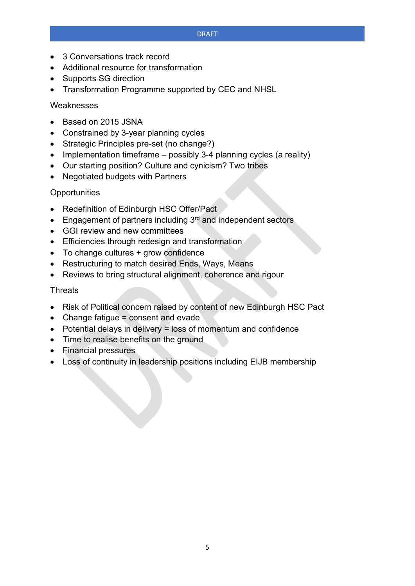- 3 Conversations track record
- Additional resource for transformation
- Supports SG direction
- Transformation Programme supported by CEC and NHSL

#### Weaknesses

- Based on 2015 JSNA
- Constrained by 3-year planning cycles
- Strategic Principles pre-set (no change?)
- Implementation timeframe possibly 3-4 planning cycles (a reality)
- Our starting position? Culture and cynicism? Two tribes
- Negotiated budgets with Partners

#### **Opportunities**

- Redefinition of Edinburgh HSC Offer/Pact
- Engagement of partners including 3<sup>rd</sup> and independent sectors
- GGI review and new committees
- Efficiencies through redesign and transformation
- To change cultures + grow confidence
- Restructuring to match desired Ends, Ways, Means
- Reviews to bring structural alignment, coherence and rigour

#### **Threats**

- Risk of Political concern raised by content of new Edinburgh HSC Pact
- Change fatigue = consent and evade
- Potential delays in delivery = loss of momentum and confidence
- Time to realise benefits on the ground
- Financial pressures
- Loss of continuity in leadership positions including EIJB membership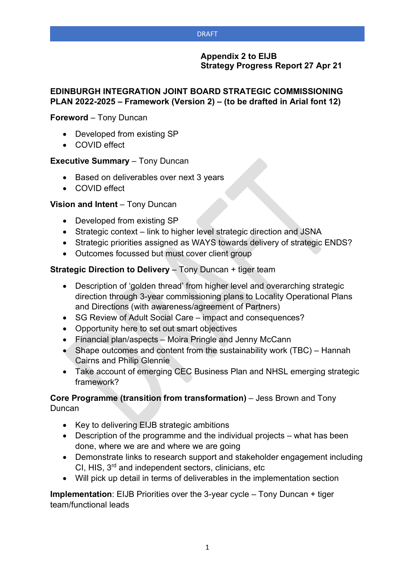#### **Appendix 2 to EIJB Strategy Progress Report 27 Apr 21**

#### **EDINBURGH INTEGRATION JOINT BOARD STRATEGIC COMMISSIONING PLAN 2022-2025 – Framework (Version 2) – (to be drafted in Arial font 12)**

#### **Foreword** – Tony Duncan

- Developed from existing SP
- COVID effect

#### **Executive Summary** – Tony Duncan

- Based on deliverables over next 3 years
- COVID effect

#### **Vision and Intent** – Tony Duncan

- Developed from existing SP
- Strategic context link to higher level strategic direction and JSNA
- Strategic priorities assigned as WAYS towards delivery of strategic ENDS?
- Outcomes focussed but must cover client group

#### **Strategic Direction to Delivery** – Tony Duncan + tiger team

- Description of 'golden thread' from higher level and overarching strategic direction through 3-year commissioning plans to Locality Operational Plans and Directions (with awareness/agreement of Partners)
- SG Review of Adult Social Care impact and consequences?
- Opportunity here to set out smart objectives
- Financial plan/aspects Moira Pringle and Jenny McCann
- Shape outcomes and content from the sustainability work (TBC) Hannah Cairns and Philip Glennie
- Take account of emerging CEC Business Plan and NHSL emerging strategic framework?

#### **Core Programme (transition from transformation)** – Jess Brown and Tony **Duncan**

- Key to delivering EIJB strategic ambitions
- Description of the programme and the individual projects what has been done, where we are and where we are going
- Demonstrate links to research support and stakeholder engagement including  $CI$ , HIS,  $3<sup>rd</sup>$  and independent sectors, clinicians, etc
- Will pick up detail in terms of deliverables in the implementation section

**Implementation**: EIJB Priorities over the 3-year cycle – Tony Duncan + tiger team/functional leads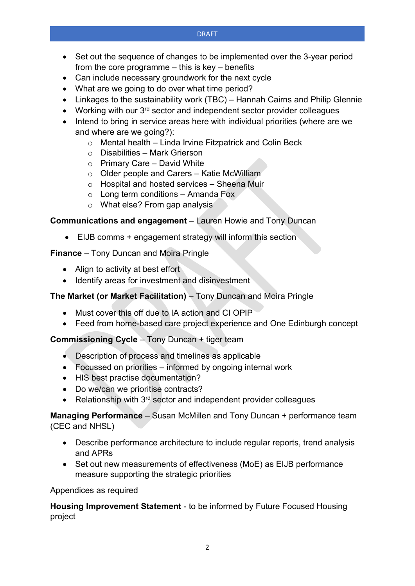- Set out the sequence of changes to be implemented over the 3-year period from the core programme – this is key – benefits
- Can include necessary groundwork for the next cycle
- What are we going to do over what time period?
- Linkages to the sustainability work (TBC) Hannah Cairns and Philip Glennie
- Working with our 3<sup>rd</sup> sector and independent sector provider colleagues
- Intend to bring in service areas here with individual priorities (where are we and where are we going?):
	- o Mental health Linda Irvine Fitzpatrick and Colin Beck
	- o Disabilities Mark Grierson
	- $\circ$  Primary Care David White
	- o Older people and Carers Katie McWilliam
	- o Hospital and hosted services Sheena Muir
	- $\circ$  Long term conditions Amanda Fox
	- o What else? From gap analysis

#### **Communications and engagement** – Lauren Howie and Tony Duncan

• EIJB comms + engagement strategy will inform this section

**Finance** – Tony Duncan and Moira Pringle

- Align to activity at best effort
- Identify areas for investment and disinvestment

#### **The Market (or Market Facilitation)** – Tony Duncan and Moira Pringle

- Must cover this off due to IA action and CI OPIP
- Feed from home-based care project experience and One Edinburgh concept

#### **Commissioning Cycle** – Tony Duncan + tiger team

- Description of process and timelines as applicable
- Focussed on priorities informed by ongoing internal work
- HIS best practise documentation?
- Do we/can we prioritise contracts?
- Relationship with  $3<sup>rd</sup>$  sector and independent provider colleagues

**Managing Performance** – Susan McMillen and Tony Duncan + performance team (CEC and NHSL)

- Describe performance architecture to include regular reports, trend analysis and APRs
- Set out new measurements of effectiveness (MoE) as EIJB performance measure supporting the strategic priorities

#### Appendices as required

**Housing Improvement Statement** - to be informed by Future Focused Housing project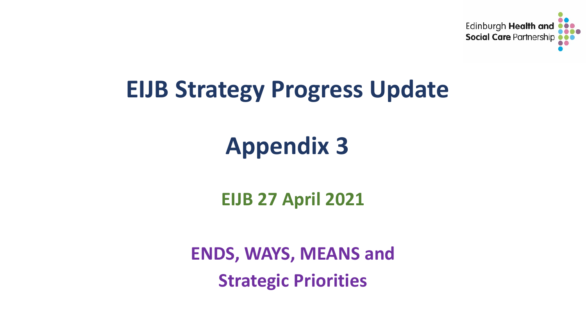

# **EIJB Strategy Progress Update**

# **Appendix 3**

**EIJB 27 April 2021**

**ENDS, WAYS, MEANS and Strategic Priorities**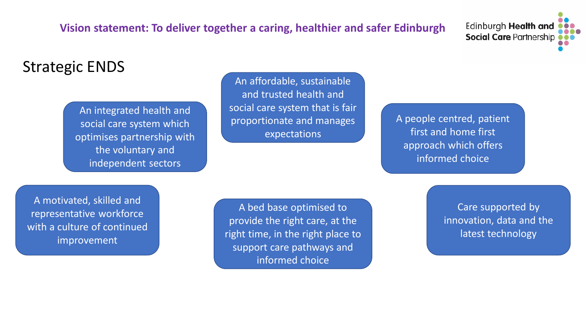## **Vision statement: To deliver together a caring, healthier and safer Edinburgh**

Edinburgh Health and **Social Care Partnership** 

# Strategic ENDS

An integrated health and social care system which optimises partnership with the voluntary and independent sectors

An affordable, sustainable and trusted health and social care system that is fair proportionate and manages expectations

A people centred, patient first and home first approach which offers informed choice

A motivated, skilled and representative workforce with a culture of continued improvement

A bed base optimised to provide the right care, at the right time, in the right place to support care pathways and informed choice

Care supported by innovation, data and the latest technology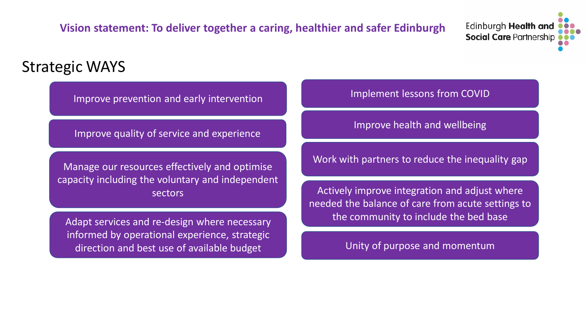# **Vision statement: To deliver together a caring, healthier and safer Edinburgh**

Edinburgh **Health and Social Care Partnership** 

# Strategic WAYS

Improve prevention and early intervention

Improve quality of service and experience

capacity including the voluntary and independent

informed by operational experience, strategic direction and best use of available budget Unity of purpose and momentum

Implement lessons from COVID

Manage our resources effectively and optimise Manage our resources effectively and optimise

sectors **Actively improve integration and adjust where** sectors needed the balance of care from acute settings to Adapt services and re-design where necessary **the community to include the bed base**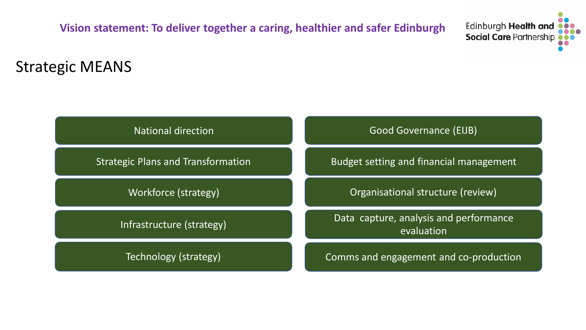**Vision statement: To deliver together a caring, healthier and safer Edinburgh** 

Edinburgh Health and **Social Care Partnership** 

# Strategic MEANS

| <b>National direction</b>                 | <b>Good Governance (EIJB)</b>                        |  |  |
|-------------------------------------------|------------------------------------------------------|--|--|
| <b>Strategic Plans and Transformation</b> | Budget setting and financial management              |  |  |
| Workforce (strategy)                      | Organisational structure (review)                    |  |  |
| Infrastructure (strategy)                 | Data capture, analysis and performance<br>evaluation |  |  |
| Technology (strategy)                     | Comms and engagement and co-production               |  |  |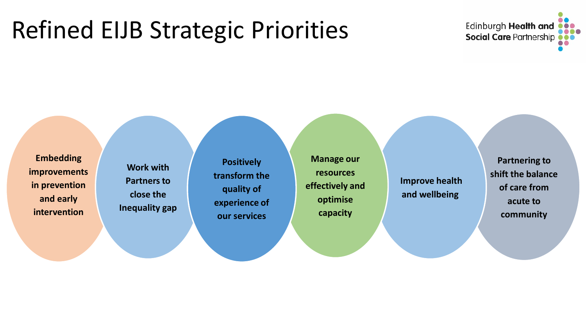# Refined EIJB Strategic Priorities



**Embedding improvements in prevention and early intervention**

**Work with Partners to close the Inequality gap**

**Positively transform the quality of experience of our services**

**Manage our resources effectively and optimise capacity** 

**Improve health and wellbeing** 

**Partnering to shift the balance of care from acute to community**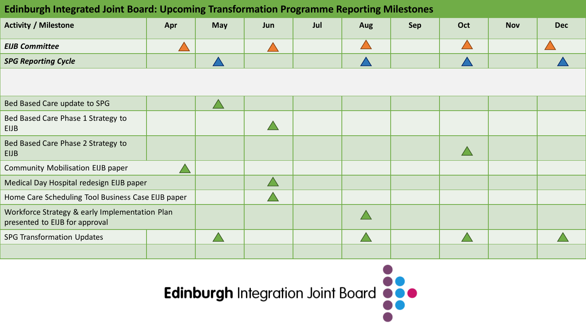### **Edinburgh Integrated Joint Board: Upcoming Transformation Programme Reporting Milestones**

| <b>Activity / Milestone</b> | Apr | <b>May</b> | Jun | Jul | <b>Aug</b> | <b>Sep</b> | Oct | <b>Nov</b> | <b>Dec</b> |
|-----------------------------|-----|------------|-----|-----|------------|------------|-----|------------|------------|
| <b>EIJB Committee</b>       |     |            |     |     |            |            |     |            |            |
| <b>SPG Reporting Cycle</b>  |     |            |     |     |            |            |     |            |            |

| Bed Based Care update to SPG                                                     |  |  |  |  |  |
|----------------------------------------------------------------------------------|--|--|--|--|--|
| Bed Based Care Phase 1 Strategy to<br><b>EIJB</b>                                |  |  |  |  |  |
| Bed Based Care Phase 2 Strategy to<br><b>EIJB</b>                                |  |  |  |  |  |
| <b>Community Mobilisation EIJB paper</b>                                         |  |  |  |  |  |
| Medical Day Hospital redesign EIJB paper                                         |  |  |  |  |  |
| Home Care Scheduling Tool Business Case EIJB paper                               |  |  |  |  |  |
| Workforce Strategy & early Implementation Plan<br>presented to EIJB for approval |  |  |  |  |  |
| <b>SPG Transformation Updates</b>                                                |  |  |  |  |  |
|                                                                                  |  |  |  |  |  |

Edinburgh Integration Joint Board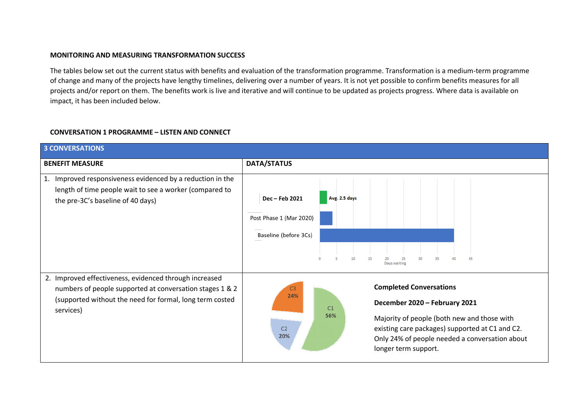#### **MONITORING AND MEASURING TRANSFORMATION SUCCESS**

The tables below set out the current status with benefits and evaluation of the transformation programme. Transformation is a medium-term programme of change and many of the projects have lengthy timelines, delivering over a number of years. It is not yet possible to confirm benefits measures for all projects and/or report on them. The benefits work is live and iterative and will continue to be updated as projects progress. Where data is available on impact, it has been included below.

#### **CONVERSATION 1 PROGRAMME – LISTEN AND CONNECT**

| <b>3 CONVERSATIONS</b>                                                                                                                                                                      |                                                                                                                                                                                                                                                                                                                        |
|---------------------------------------------------------------------------------------------------------------------------------------------------------------------------------------------|------------------------------------------------------------------------------------------------------------------------------------------------------------------------------------------------------------------------------------------------------------------------------------------------------------------------|
| <b>BENEFIT MEASURE</b>                                                                                                                                                                      | <b>DATA/STATUS</b>                                                                                                                                                                                                                                                                                                     |
| Improved responsiveness evidenced by a reduction in the<br>1.<br>length of time people wait to see a worker (compared to<br>the pre-3C's baseline of 40 days)                               | Avg. 2.5 days<br>Dec - Feb 2021<br>Post Phase 1 (Mar 2020)<br>Baseline (before 3Cs)<br>45<br>$10^{1}$<br>15<br>35<br>40<br>Days waiting                                                                                                                                                                                |
| 2. Improved effectiveness, evidenced through increased<br>numbers of people supported at conversation stages 1 & 2<br>(supported without the need for formal, long term costed<br>services) | <b>Completed Conversations</b><br>C <sub>3</sub><br>24%<br>December 2020 - February 2021<br>C <sub>1</sub><br>56%<br>Majority of people (both new and those with<br>existing care packages) supported at C1 and C2.<br>C <sub>2</sub><br>20%<br>Only 24% of people needed a conversation about<br>longer term support. |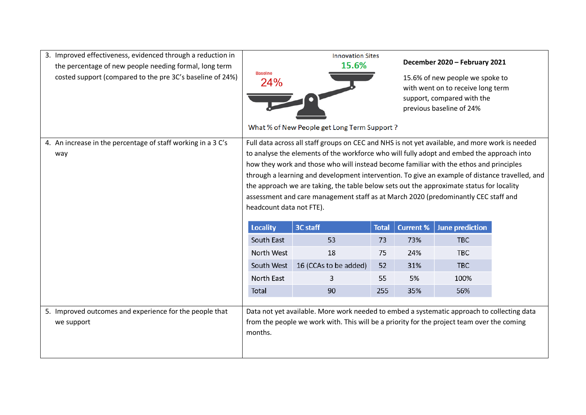| 3. Improved effectiveness, evidenced through a reduction in<br>the percentage of new people needing formal, long term<br>costed support (compared to the pre 3C's baseline of 24%) | <b>Baseline</b><br>24%   | <b>Innovation Sites</b><br>15.6%<br>What % of New People get Long Term Support ?                                                                                                                                                                                                                                                                                                                                                                                        |              |                  | December 2020 - February 2021<br>15.6% of new people we spoke to<br>with went on to receive long term<br>support, compared with the<br>previous baseline of 24% |  |
|------------------------------------------------------------------------------------------------------------------------------------------------------------------------------------|--------------------------|-------------------------------------------------------------------------------------------------------------------------------------------------------------------------------------------------------------------------------------------------------------------------------------------------------------------------------------------------------------------------------------------------------------------------------------------------------------------------|--------------|------------------|-----------------------------------------------------------------------------------------------------------------------------------------------------------------|--|
|                                                                                                                                                                                    |                          | Full data across all staff groups on CEC and NHS is not yet available, and more work is needed                                                                                                                                                                                                                                                                                                                                                                          |              |                  |                                                                                                                                                                 |  |
| 4. An increase in the percentage of staff working in a 3 C's<br>way                                                                                                                | headcount data not FTE). | to analyse the elements of the workforce who will fully adopt and embed the approach into<br>how they work and those who will instead become familiar with the ethos and principles<br>through a learning and development intervention. To give an example of distance travelled, and<br>the approach we are taking, the table below sets out the approximate status for locality<br>assessment and care management staff as at March 2020 (predominantly CEC staff and |              |                  |                                                                                                                                                                 |  |
|                                                                                                                                                                                    | <b>Locality</b>          | 3C staff                                                                                                                                                                                                                                                                                                                                                                                                                                                                | <b>Total</b> | <b>Current %</b> | <b>June prediction</b>                                                                                                                                          |  |
|                                                                                                                                                                                    | South East               | 53                                                                                                                                                                                                                                                                                                                                                                                                                                                                      | 73           | 73%              | <b>TBC</b>                                                                                                                                                      |  |
|                                                                                                                                                                                    | North West               | 18                                                                                                                                                                                                                                                                                                                                                                                                                                                                      | 75           | 24%              | <b>TBC</b>                                                                                                                                                      |  |
|                                                                                                                                                                                    | South West               | 16 (CCAs to be added)                                                                                                                                                                                                                                                                                                                                                                                                                                                   | 52           | 31%              | <b>TBC</b>                                                                                                                                                      |  |
|                                                                                                                                                                                    | North East               | 3                                                                                                                                                                                                                                                                                                                                                                                                                                                                       | 55           | 5%               | 100%                                                                                                                                                            |  |
|                                                                                                                                                                                    | Total                    | 90                                                                                                                                                                                                                                                                                                                                                                                                                                                                      | 255          | 35%              | 56%                                                                                                                                                             |  |
| 5. Improved outcomes and experience for the people that<br>we support                                                                                                              | months.                  | Data not yet available. More work needed to embed a systematic approach to collecting data<br>from the people we work with. This will be a priority for the project team over the coming                                                                                                                                                                                                                                                                                |              |                  |                                                                                                                                                                 |  |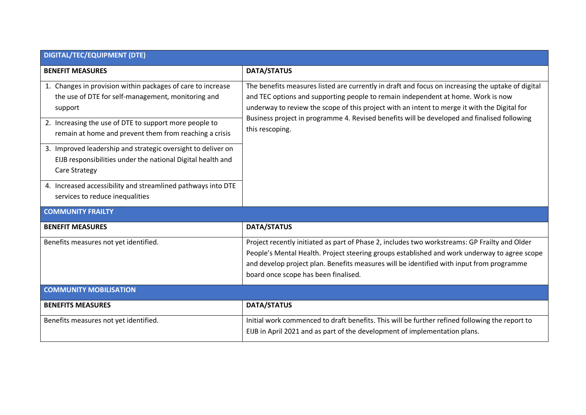| <b>DIGITAL/TEC/EQUIPMENT (DTE)</b>                                                                                                                                                                                                                                                                                                                                              |                                                                                                                                                                                                                                                                                                                                                                                                         |
|---------------------------------------------------------------------------------------------------------------------------------------------------------------------------------------------------------------------------------------------------------------------------------------------------------------------------------------------------------------------------------|---------------------------------------------------------------------------------------------------------------------------------------------------------------------------------------------------------------------------------------------------------------------------------------------------------------------------------------------------------------------------------------------------------|
| <b>BENEFIT MEASURES</b>                                                                                                                                                                                                                                                                                                                                                         | <b>DATA/STATUS</b>                                                                                                                                                                                                                                                                                                                                                                                      |
| 1. Changes in provision within packages of care to increase<br>the use of DTE for self-management, monitoring and<br>support<br>2. Increasing the use of DTE to support more people to<br>remain at home and prevent them from reaching a crisis<br>3. Improved leadership and strategic oversight to deliver on<br>EIJB responsibilities under the national Digital health and | The benefits measures listed are currently in draft and focus on increasing the uptake of digital<br>and TEC options and supporting people to remain independent at home. Work is now<br>underway to review the scope of this project with an intent to merge it with the Digital for<br>Business project in programme 4. Revised benefits will be developed and finalised following<br>this rescoping. |
| <b>Care Strategy</b><br>4. Increased accessibility and streamlined pathways into DTE<br>services to reduce inequalities<br><b>COMMUNITY FRAILTY</b>                                                                                                                                                                                                                             |                                                                                                                                                                                                                                                                                                                                                                                                         |
|                                                                                                                                                                                                                                                                                                                                                                                 |                                                                                                                                                                                                                                                                                                                                                                                                         |
| <b>BENEFIT MEASURES</b>                                                                                                                                                                                                                                                                                                                                                         | <b>DATA/STATUS</b>                                                                                                                                                                                                                                                                                                                                                                                      |
| Benefits measures not yet identified.                                                                                                                                                                                                                                                                                                                                           | Project recently initiated as part of Phase 2, includes two workstreams: GP Frailty and Older<br>People's Mental Health. Project steering groups established and work underway to agree scope<br>and develop project plan. Benefits measures will be identified with input from programme<br>board once scope has been finalised.                                                                       |
| <b>COMMUNITY MOBILISATION</b>                                                                                                                                                                                                                                                                                                                                                   |                                                                                                                                                                                                                                                                                                                                                                                                         |
| <b>BENEFITS MEASURES</b>                                                                                                                                                                                                                                                                                                                                                        | <b>DATA/STATUS</b>                                                                                                                                                                                                                                                                                                                                                                                      |
| Benefits measures not yet identified.                                                                                                                                                                                                                                                                                                                                           | Initial work commenced to draft benefits. This will be further refined following the report to<br>EIJB in April 2021 and as part of the development of implementation plans.                                                                                                                                                                                                                            |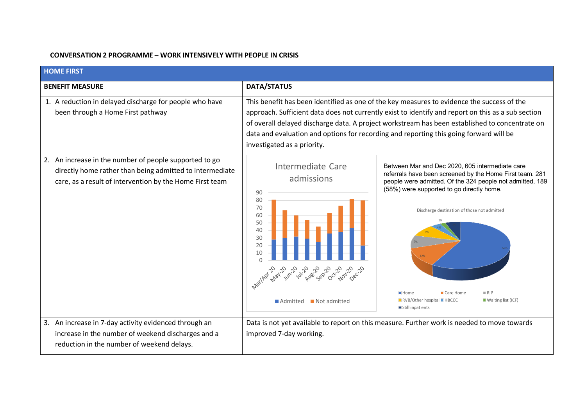#### **CONVERSATION 2 PROGRAMME – WORK INTENSIVELY WITH PEOPLE IN CRISIS**

| <b>HOME FIRST</b>                                                                                                                                                              |                                                                                                                                                                                                                                                                                                                                                                                                                             |                                                                                                                                                                                                                                                                                                                                                                                   |  |  |  |  |
|--------------------------------------------------------------------------------------------------------------------------------------------------------------------------------|-----------------------------------------------------------------------------------------------------------------------------------------------------------------------------------------------------------------------------------------------------------------------------------------------------------------------------------------------------------------------------------------------------------------------------|-----------------------------------------------------------------------------------------------------------------------------------------------------------------------------------------------------------------------------------------------------------------------------------------------------------------------------------------------------------------------------------|--|--|--|--|
| <b>BENEFIT MEASURE</b>                                                                                                                                                         | DATA/STATUS                                                                                                                                                                                                                                                                                                                                                                                                                 |                                                                                                                                                                                                                                                                                                                                                                                   |  |  |  |  |
| 1. A reduction in delayed discharge for people who have<br>been through a Home First pathway                                                                                   | This benefit has been identified as one of the key measures to evidence the success of the<br>approach. Sufficient data does not currently exist to identify and report on this as a sub section<br>of overall delayed discharge data. A project workstream has been established to concentrate on<br>data and evaluation and options for recording and reporting this going forward will be<br>investigated as a priority. |                                                                                                                                                                                                                                                                                                                                                                                   |  |  |  |  |
| 2. An increase in the number of people supported to go<br>directly home rather than being admitted to intermediate<br>care, as a result of intervention by the Home First team | Intermediate Care<br>admissions<br>90<br>80<br>70<br>60<br>50<br>40<br>30<br>20<br>10<br>$\cap$<br>MariAge May Jun-10 /2/2020<br>- 8820<br>Not admitted<br>Admitted                                                                                                                                                                                                                                                         | Between Mar and Dec 2020, 605 intermediate care<br>referrals have been screened by the Home First team. 281<br>people were admitted. Of the 324 people not admitted, 189<br>(58%) were supported to go directly home.<br>Discharge destination of those not admitted<br>RIP<br>■ Home<br>■ Care Home<br>RVB/Other hospital <b>HBCCC</b><br>Waiting list (ICF)<br>Still inpatients |  |  |  |  |
| 3. An increase in 7-day activity evidenced through an<br>increase in the number of weekend discharges and a<br>reduction in the number of weekend delays.                      | improved 7-day working.                                                                                                                                                                                                                                                                                                                                                                                                     | Data is not yet available to report on this measure. Further work is needed to move towards                                                                                                                                                                                                                                                                                       |  |  |  |  |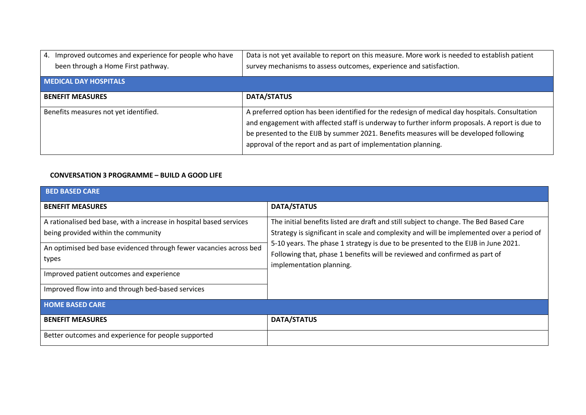| 4. Improved outcomes and experience for people who have<br>been through a Home First pathway. | Data is not yet available to report on this measure. More work is needed to establish patient<br>survey mechanisms to assess outcomes, experience and satisfaction.                                                                                                                                                                                          |
|-----------------------------------------------------------------------------------------------|--------------------------------------------------------------------------------------------------------------------------------------------------------------------------------------------------------------------------------------------------------------------------------------------------------------------------------------------------------------|
| <b>MEDICAL DAY HOSPITALS</b>                                                                  |                                                                                                                                                                                                                                                                                                                                                              |
| <b>BENEFIT MEASURES</b>                                                                       | <b>DATA/STATUS</b>                                                                                                                                                                                                                                                                                                                                           |
| Benefits measures not yet identified.                                                         | A preferred option has been identified for the redesign of medical day hospitals. Consultation<br>and engagement with affected staff is underway to further inform proposals. A report is due to<br>be presented to the EIJB by summer 2021. Benefits measures will be developed following<br>approval of the report and as part of implementation planning. |

#### **CONVERSATION 3 PROGRAMME – BUILD A GOOD LIFE**

| <b>BED BASED CARE</b>                                                                                      |                                                                                                                                                                                                                                                                                                                                                                                  |
|------------------------------------------------------------------------------------------------------------|----------------------------------------------------------------------------------------------------------------------------------------------------------------------------------------------------------------------------------------------------------------------------------------------------------------------------------------------------------------------------------|
| <b>BENEFIT MEASURES</b>                                                                                    | <b>DATA/STATUS</b>                                                                                                                                                                                                                                                                                                                                                               |
| A rationalised bed base, with a increase in hospital based services<br>being provided within the community | The initial benefits listed are draft and still subject to change. The Bed Based Care<br>Strategy is significant in scale and complexity and will be implemented over a period of<br>5-10 years. The phase 1 strategy is due to be presented to the EIJB in June 2021.<br>Following that, phase 1 benefits will be reviewed and confirmed as part of<br>implementation planning. |
| An optimised bed base evidenced through fewer vacancies across bed                                         |                                                                                                                                                                                                                                                                                                                                                                                  |
| types                                                                                                      |                                                                                                                                                                                                                                                                                                                                                                                  |
| Improved patient outcomes and experience                                                                   |                                                                                                                                                                                                                                                                                                                                                                                  |
| Improved flow into and through bed-based services                                                          |                                                                                                                                                                                                                                                                                                                                                                                  |
| <b>HOME BASED CARE</b>                                                                                     |                                                                                                                                                                                                                                                                                                                                                                                  |
| <b>BENEFIT MEASURES</b>                                                                                    | <b>DATA/STATUS</b>                                                                                                                                                                                                                                                                                                                                                               |
| Better outcomes and experience for people supported                                                        |                                                                                                                                                                                                                                                                                                                                                                                  |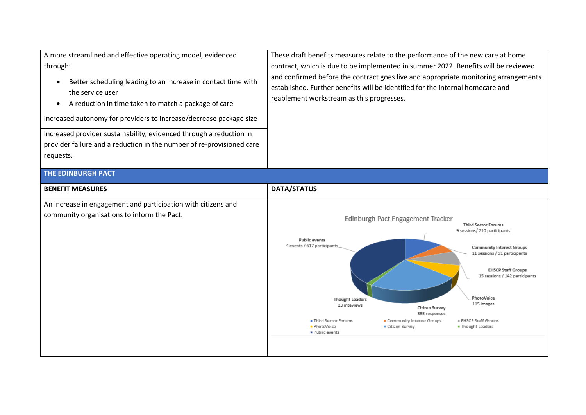| A more streamlined and effective operating model, evidenced<br>through:<br>Better scheduling leading to an increase in contact time with<br>$\bullet$<br>the service user<br>A reduction in time taken to match a package of care<br>$\bullet$<br>Increased autonomy for providers to increase/decrease package size<br>Increased provider sustainability, evidenced through a reduction in<br>provider failure and a reduction in the number of re-provisioned care<br>requests. | These draft benefits measures relate to the performance of the new care at home<br>contract, which is due to be implemented in summer 2022. Benefits will be reviewed<br>and confirmed before the contract goes live and appropriate monitoring arrangements<br>established. Further benefits will be identified for the internal homecare and<br>reablement workstream as this progresses.                                                                                                                                                                                       |
|-----------------------------------------------------------------------------------------------------------------------------------------------------------------------------------------------------------------------------------------------------------------------------------------------------------------------------------------------------------------------------------------------------------------------------------------------------------------------------------|-----------------------------------------------------------------------------------------------------------------------------------------------------------------------------------------------------------------------------------------------------------------------------------------------------------------------------------------------------------------------------------------------------------------------------------------------------------------------------------------------------------------------------------------------------------------------------------|
| <b>THE EDINBURGH PACT</b>                                                                                                                                                                                                                                                                                                                                                                                                                                                         |                                                                                                                                                                                                                                                                                                                                                                                                                                                                                                                                                                                   |
| <b>BENEFIT MEASURES</b>                                                                                                                                                                                                                                                                                                                                                                                                                                                           | <b>DATA/STATUS</b>                                                                                                                                                                                                                                                                                                                                                                                                                                                                                                                                                                |
| An increase in engagement and participation with citizens and<br>community organisations to inform the Pact.                                                                                                                                                                                                                                                                                                                                                                      | Edinburgh Pact Engagement Tracker<br><b>Third Sector Forums</b><br>9 sessions/ 210 participants<br><b>Public events</b><br>4 events / 617 participants<br><b>Community Interest Groups</b><br>11 sessions / 91 participants<br><b>EHSCP Staff Groups</b><br>15 sessions / 142 participants<br>PhotoVoice<br><b>Thought Leaders</b><br>115 images<br>23 inteviews<br><b>Citizen Survey</b><br>355 responses<br><b>Third Sector Forums</b><br>Community Interest Groups<br><b>EHSCP Staff Groups</b><br>• PhotoVoice<br>Citizen Survey<br><b>■ Thought Leaders</b><br>Public events |